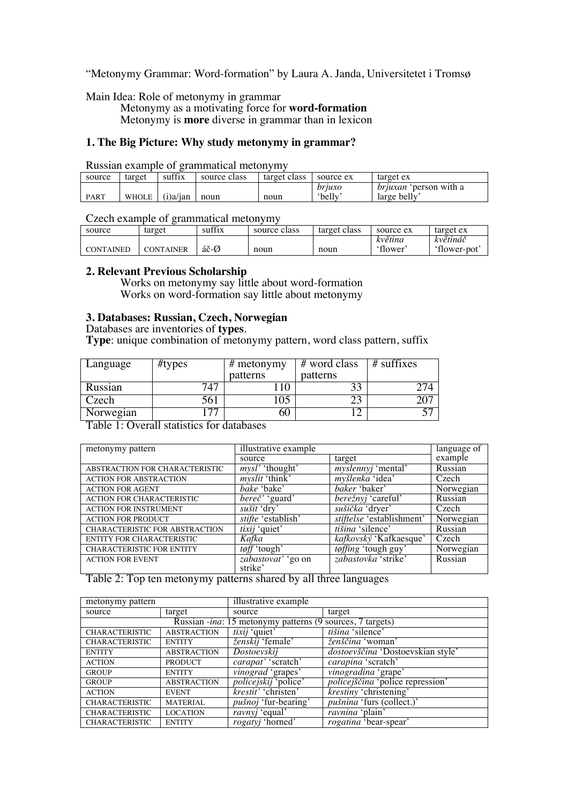"Metonymy Grammar: Word-formation" by Laura A. Janda, Universitetet i Tromsø

Main Idea: Role of metonymy in grammar

Metonymy as a motivating force for **word-formation** Metonymy is **more** diverse in grammar than in lexicon

# **1. The Big Picture: Why study metonymy in grammar?**

Russian example of grammatical metonymy

| source      | target | suffix      | source class | target class | source ex        | target ex                              |
|-------------|--------|-------------|--------------|--------------|------------------|----------------------------------------|
| <b>PART</b> | WHOLE  | $(i)$ a/ian | noun         | noun         | briuxo<br>'belly | bruxan<br>person with a<br>large belly |

Czech example of grammatical metonymy

| source           | target           | suffix | source class | target class | source ex | target ex   |
|------------------|------------------|--------|--------------|--------------|-----------|-------------|
|                  |                  |        |              |              | květina   | květináč    |
| <b>CONTAINED</b> | <b>CONTAINER</b> | áč-Ø   | noun         | noun         | 'flower   | 'flower-pot |

#### **2. Relevant Previous Scholarship**

Works on metonymy say little about word-formation Works on word-formation say little about metonymy

### **3. Databases: Russian, Czech, Norwegian**

Databases are inventories of **types**.

**Type**: unique combination of metonymy pattern, word class pattern, suffix

| Language  | #types | $#$ metonymy | # word class | $#$ suffixes |
|-----------|--------|--------------|--------------|--------------|
|           |        | patterns     | patterns     |              |
| Russian   |        |              |              |              |
| Czech     |        | 05           |              |              |
| Norwegian |        | 60           |              |              |

Table 1: Overall statistics for databases

| metonymy pattern                 | illustrative example              | language of                   |           |
|----------------------------------|-----------------------------------|-------------------------------|-----------|
|                                  | source                            | target                        | example   |
| ABSTRACTION FOR CHARACTERISTIC   | <i>mysl'</i> 'thought'            | <i>myslennyj</i> 'mental'     | Russian   |
| <b>ACTION FOR ABSTRACTION</b>    | <i>myslit</i> 'think'             | myšlenka 'idea'               | Czech     |
| <b>ACTION FOR AGENT</b>          | bake 'bake'                       | <i>baker</i> 'baker'          | Norwegian |
| <b>ACTION FOR CHARACTERISTIC</b> | <i>bereč</i> ' 'guard'            | <i>berežnyj</i> 'careful'     | Russian   |
| <b>ACTION FOR INSTRUMENT</b>     | sušit 'dry'                       | sušička 'dryer'               | Czech     |
| <b>ACTION FOR PRODUCT</b>        | <i>stifte</i> 'establish'         | stiftelse 'establishment'     | Norwegian |
| CHARACTERISTIC FOR ABSTRACTION   | <i>tixij</i> 'quiet'              | <i>tišina</i> 'silence'       | Russian   |
| <b>ENTITY FOR CHARACTERISTIC</b> | Kafka                             | <i>kafkovský</i> 'Kafkaesque' | Czech     |
| <b>CHARACTERISTIC FOR ENTITY</b> | $\overline{\textit{toff}}$ tough' | <i>tøffing</i> 'tough guy'    | Norwegian |
| <b>ACTION FOR EVENT</b>          | zabastovať 'go on                 | zabastovka 'strike'           | Russian   |
|                                  | strike'                           |                               |           |

Table 2: Top ten metonymy patterns shared by all three languages

| metonymy pattern                                          |                    | illustrative example        |                                         |  |  |  |
|-----------------------------------------------------------|--------------------|-----------------------------|-----------------------------------------|--|--|--|
| source                                                    | target             | source                      | target                                  |  |  |  |
| Russian -ina: 15 metonymy patterns (9 sources, 7 targets) |                    |                             |                                         |  |  |  |
| <b>CHARACTERISTIC</b>                                     | <b>ABSTRACTION</b> | <i>tixij</i> 'quiet'        | tišina 'silence'                        |  |  |  |
| <b>CHARACTERISTIC</b>                                     | <b>ENTITY</b>      | <i>ženskij</i> 'female'     | <i>ženščina</i> 'woman'                 |  |  |  |
| <b>ENTITY</b>                                             | <b>ABSTRACTION</b> | Dostoevskij                 | dostoevščina 'Dostoevskian style'       |  |  |  |
| <b>ACTION</b>                                             | <b>PRODUCT</b>     | carapat' 'scratch'          | carapina 'scratch'                      |  |  |  |
| <b>GROUP</b>                                              | <b>ENTITY</b>      | vinograd 'grapes'           | vinogradina 'grape'                     |  |  |  |
| <b>GROUP</b>                                              | <b>ABSTRACTION</b> | <i>policejskij</i> 'police' | <i>policejščina</i> 'police repression' |  |  |  |
| <b>ACTION</b>                                             | <b>EVENT</b>       | <i>krestit'</i> 'christen'  | krestiny 'christening'                  |  |  |  |
| <b>CHARACTERISTIC</b>                                     | <b>MATERIAL</b>    | <i>pušnoj</i> 'fur-bearing' | pušnina 'furs (collect.)'               |  |  |  |
| <b>CHARACTERISTIC</b>                                     | <b>LOCATION</b>    | <i>ravnyj</i> 'equal'       | ravnina 'plain'                         |  |  |  |
| <b>CHARACTERISTIC</b>                                     | <b>ENTITY</b>      | rogatyj 'horned'            | <i>rogatina</i> 'bear-spear'            |  |  |  |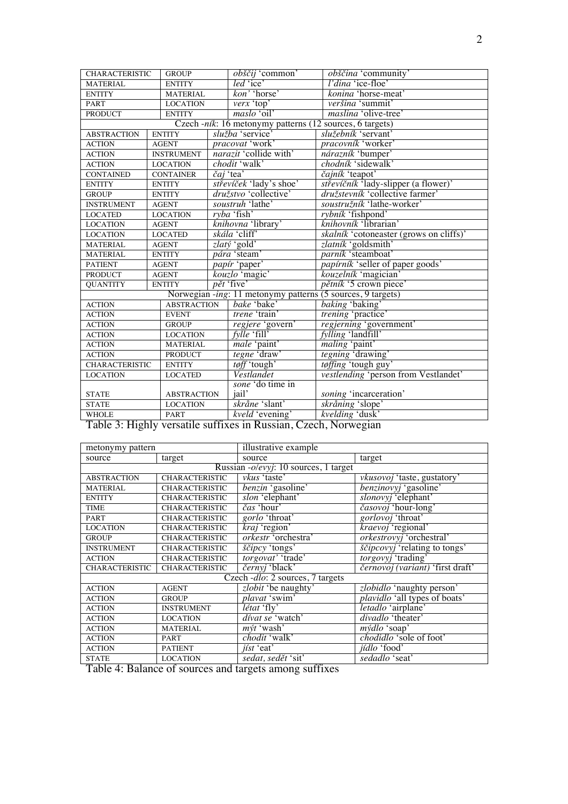| $led$ 'ice'<br><b>MATERIAL</b><br><b>ENTITY</b>                                                                                                                      | l'dina 'ice-floe'                              |  |  |
|----------------------------------------------------------------------------------------------------------------------------------------------------------------------|------------------------------------------------|--|--|
|                                                                                                                                                                      |                                                |  |  |
| kon' 'horse'<br><b>ENTITY</b><br><b>MATERIAL</b>                                                                                                                     | konina 'horse-meat'                            |  |  |
| verx 'top'<br><b>LOCATION</b><br><b>PART</b>                                                                                                                         | veršina 'summit'                               |  |  |
| maslo 'oil'<br><b>PRODUCT</b><br><b>ENTITY</b>                                                                                                                       | <i>maslina</i> 'olive-tree'                    |  |  |
| Czech -ník: 16 metonymy patterns (12 sources, 6 targets)                                                                                                             |                                                |  |  |
| služba 'service'<br><b>ABSTRACTION</b><br><b>ENTITY</b>                                                                                                              | služebník 'servant'                            |  |  |
| pracovat 'work'<br><b>ACTION</b><br><b>AGENT</b>                                                                                                                     | pracovník 'worker'                             |  |  |
| narazit 'collide with'<br><b>INSTRUMENT</b><br><b>ACTION</b>                                                                                                         | nárazník 'bumper'                              |  |  |
| chodit 'walk'<br><b>ACTION</b><br><b>LOCATION</b>                                                                                                                    | chodník 'sidewalk'                             |  |  |
| <i>čaj</i> 'tea'<br><b>CONTAINED</b><br><b>CONTAINER</b>                                                                                                             | čajník 'teapot'                                |  |  |
| střevíček 'lady's shoe'<br><b>ENTITY</b><br><b>ENTITY</b>                                                                                                            | střevíčník 'lady-slipper (a flower)'           |  |  |
| družstvo 'collective'<br><b>GROUP</b><br><b>ENTITY</b>                                                                                                               | družstevník 'collective farmer'                |  |  |
| soustruh 'lathe'<br><b>INSTRUMENT</b><br><b>AGENT</b>                                                                                                                | soustružník 'lathe-worker'                     |  |  |
| $ryba$ 'fish'<br><b>LOCATED</b><br><b>LOCATION</b>                                                                                                                   | rybník 'fishpond'                              |  |  |
| knihovna 'library'<br><b>LOCATION</b><br><b>AGENT</b>                                                                                                                | knihovník 'librarian'                          |  |  |
| skála 'cliff'<br><b>LOCATION</b><br><b>LOCATED</b>                                                                                                                   | <i>skalník</i> 'cotoneaster (grows on cliffs)' |  |  |
| zlatý 'gold'<br><b>MATERIAL</b><br><b>AGENT</b>                                                                                                                      | zlatník 'goldsmith'                            |  |  |
| <i>pára</i> 'steam'<br><b>MATERIAL</b><br><b>ENTITY</b>                                                                                                              | parník 'steamboat'                             |  |  |
| papír 'paper'<br><b>PATIENT</b><br><b>AGENT</b>                                                                                                                      | papírník 'seller of paper goods'               |  |  |
| kouzlo 'magic'<br><b>PRODUCT</b><br><b>AGENT</b>                                                                                                                     | kouzelník 'magician'                           |  |  |
| $p$ <i>ět</i> 'five'<br><b>QUANTITY</b><br><b>ENTITY</b>                                                                                                             | pětník '5 crown piece'                         |  |  |
| Norwegian -ing: 11 metonymy patterns (5 sources, 9 targets)                                                                                                          |                                                |  |  |
| bake 'bake'<br><b>ABSTRACTION</b><br><b>ACTION</b>                                                                                                                   | baking 'baking'                                |  |  |
| trene 'train'<br><b>ACTION</b><br><b>EVENT</b>                                                                                                                       | trening 'practice'                             |  |  |
| <b>ACTION</b><br>regjere 'govern'<br><b>GROUP</b>                                                                                                                    | regjerning 'government'                        |  |  |
| fylle 'fill'<br><b>ACTION</b><br><b>LOCATION</b>                                                                                                                     | fylling 'landfill'                             |  |  |
| male 'paint'<br><b>ACTION</b><br><b>MATERIAL</b>                                                                                                                     | <i>maling</i> 'paint'                          |  |  |
| tegne draw'<br><b>ACTION</b><br><b>PRODUCT</b>                                                                                                                       | <i>tegning</i> 'drawing'                       |  |  |
| tøff 'tough'<br><b>CHARACTERISTIC</b><br><b>ENTITY</b>                                                                                                               | tøffing 'tough guy'                            |  |  |
| Vestlandet<br><b>LOCATION</b><br><b>LOCATED</b>                                                                                                                      | vestlending 'person from Vestlandet'           |  |  |
| sone 'do time in                                                                                                                                                     |                                                |  |  |
| jail'<br><b>STATE</b><br><b>ABSTRACTION</b>                                                                                                                          | soning 'incarceration'                         |  |  |
| skråne 'slant'<br><b>LOCATION</b><br><b>STATE</b>                                                                                                                    | skråning 'slope'                               |  |  |
| kveld 'evening'<br>PART<br><b>WHOLE</b><br>$\overline{1}$<br>$\overline{c}$<br>$\overline{P}$<br>$\overline{2}$ $\overline{11}$ $\overline{11}$<br>$\overline{m}$ 11 | kvelding 'dusk'<br>1 N <sub>1</sub>            |  |  |

Table 3: Highly versatile suffixes in Russian, Czech, Norwegian

| metonymy pattern           |                                 | illustrative example                                                         |                                         |  |  |
|----------------------------|---------------------------------|------------------------------------------------------------------------------|-----------------------------------------|--|--|
| source                     | target                          | source                                                                       | target                                  |  |  |
|                            |                                 | Russian -o/evyj: 10 sources, 1 target                                        |                                         |  |  |
| <b>ABSTRACTION</b>         | <b>CHARACTERISTIC</b>           | vkus 'taste'                                                                 | <i>vkusovoj</i> 'taste, gustatory'      |  |  |
| <b>MATERIAL</b>            | <b>CHARACTERISTIC</b>           | <i>benzin</i> 'gasoline'                                                     | <i>benzinovyj</i> 'gasoline'            |  |  |
| <b>ENTITY</b>              | <b>CHARACTERISTIC</b>           | <i>slon</i> 'elephant'                                                       | slonovyj 'elephant'                     |  |  |
| <b>TIME</b>                | <b>CHARACTERISTIC</b>           | <i>čas</i> 'hour'                                                            | časovoj 'hour-long'                     |  |  |
| <b>PART</b>                | <b>CHARACTERISTIC</b>           | <i>gorlo</i> 'throat'                                                        | <i>gorlovoj</i> 'throat'                |  |  |
| <b>LOCATION</b>            | <b>CHARACTERISTIC</b>           | $\overline{kraj}$ 'region'                                                   | <i>kraevoj</i> 'regional'               |  |  |
| <b>GROUP</b>               | <b>CHARACTERISTIC</b>           | <i>orkestr</i> 'orchestra'                                                   | orkestrovyj 'orchestral'                |  |  |
| <b>INSTRUMENT</b>          | <b>CHARACTERISTIC</b>           | ščipcy 'tongs'                                                               | <i>ščipcovyj</i> 'relating to tongs'    |  |  |
| <b>ACTION</b>              | <b>CHARACTERISTIC</b>           | torgovat' 'trade'                                                            | torgovyj 'trading'                      |  |  |
| <b>CHARACTERISTIC</b>      | <b>CHARACTERISTIC</b>           | černyj 'black'                                                               | <i>černovoj (variant)</i> 'first draft' |  |  |
|                            |                                 | Czech - dlo: 2 sources, 7 targets                                            |                                         |  |  |
| <b>ACTION</b>              | <b>AGENT</b>                    | zlobit 'be naughty'                                                          | <i>zlobidlo</i> 'naughty person'        |  |  |
| <b>ACTION</b>              | <b>GROUP</b>                    | plavat 'swim'                                                                | <i>plavidlo</i> 'all types of boats'    |  |  |
| <b>ACTION</b>              | <b>INSTRUMENT</b>               | <i>létat</i> 'fly'                                                           | letadlo 'airplane'                      |  |  |
| <b>ACTION</b>              | <b>LOCATION</b>                 | dívat se 'watch'                                                             | divadlo 'theater'                       |  |  |
| <b>ACTION</b>              | <b>MATERIAL</b>                 | $m\acute{v}t$ 'wash'                                                         | $m\acute{\nu}dlo$ 'soap'                |  |  |
| <b>ACTION</b>              | <b>PART</b>                     | chodit 'walk'                                                                | chodidlo 'sole of foot'                 |  |  |
| <b>ACTION</b>              | <b>PATIENT</b>                  | <i>iíst</i> 'eat'                                                            | <i>jídlo</i> 'food'                     |  |  |
| <b>STATE</b><br>T 11 4 D 1 | <b>LOCATION</b><br>$\mathbf{r}$ | sedat, sedět 'sit'<br>$\overline{\mathbf{r} \mathbf{r}^*}$<br>$\overline{1}$ | sedadlo 'seat'                          |  |  |

Table 4: Balance of sources and targets among suffixes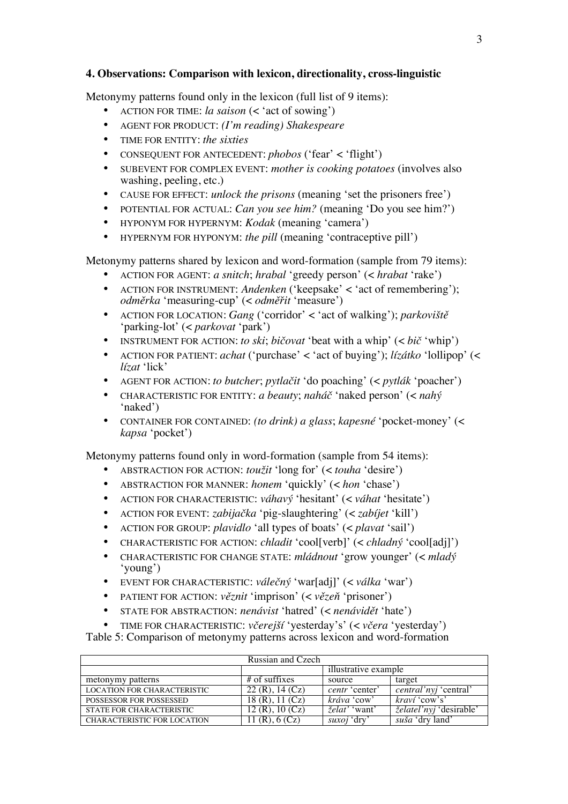### **4. Observations: Comparison with lexicon, directionality, cross-linguistic**

Metonymy patterns found only in the lexicon (full list of 9 items):

- ACTION FOR TIME: *la saison* (< 'act of sowing')
- AGENT FOR PRODUCT: *(I'm reading) Shakespeare*
- TIME FOR ENTITY: *the sixties*
- CONSEQUENT FOR ANTECEDENT: *phobos* ('fear' < 'flight')
- SUBEVENT FOR COMPLEX EVENT: *mother is cooking potatoes* (involves also washing, peeling, etc.)
- CAUSE FOR EFFECT: *unlock the prisons* (meaning 'set the prisoners free')
- POTENTIAL FOR ACTUAL: *Can you see him?* (meaning 'Do you see him?')
- HYPONYM FOR HYPERNYM: *Kodak* (meaning 'camera')
- HYPERNYM FOR HYPONYM: *the pill* (meaning 'contraceptive pill')

Metonymy patterns shared by lexicon and word-formation (sample from 79 items):

- ACTION FOR AGENT: *a snitch*; *hrabal* 'greedy person' (< *hrabat* 'rake')
- ACTION FOR INSTRUMENT: *Andenken* ('keepsake' < 'act of remembering'); *odměrka* 'measuring-cup' (< *odměřit* 'measure')
- ACTION FOR LOCATION: *Gang* ('corridor' < 'act of walking'); *parkoviště* 'parking-lot' (< *parkovat* 'park')
- INSTRUMENT FOR ACTION: *to ski*; *bičovat* 'beat with a whip' (< *bič* 'whip')
- ACTION FOR PATIENT: *achat* ('purchase' < 'act of buying'); *lízátko* 'lollipop' (< *lízat* 'lick'
- AGENT FOR ACTION: *to butcher*; *pytlačit* 'do poaching' (< *pytlák* 'poacher')
- CHARACTERISTIC FOR ENTITY: *a beauty*; *naháč* 'naked person' (< *nahý* 'naked')
- CONTAINER FOR CONTAINED: *(to drink) a glass*; *kapesné* 'pocket-money' (< *kapsa* 'pocket')

Metonymy patterns found only in word-formation (sample from 54 items):

- ABSTRACTION FOR ACTION: *toužit* 'long for' (< *touha* 'desire')
- ABSTRACTION FOR MANNER: *honem* 'quickly' (< *hon* 'chase')
- ACTION FOR CHARACTERISTIC: *váhavý* 'hesitant' (< *váhat* 'hesitate')
- ACTION FOR EVENT: *zabijačka* 'pig-slaughtering' (< *zabíjet* 'kill')
- ACTION FOR GROUP: *plavidlo* 'all types of boats' (< *plavat* 'sail')
- CHARACTERISTIC FOR ACTION: *chladit* 'cool[verb]' (< *chladný* 'cool[adj]')
- CHARACTERISTIC FOR CHANGE STATE: *mládnout* 'grow younger' (< *mladý* 'young')
- EVENT FOR CHARACTERISTIC: *válečný* 'war[adj]' (< *válka* 'war')
- PATIENT FOR ACTION: *věznit* 'imprison' (< *vězeň* 'prisoner')
- STATE FOR ABSTRACTION: *nenávist* 'hatred' (< *nenávidět* 'hate')
- TIME FOR CHARACTERISTIC: *včerejší* 'yesterday's' (< *včera* 'yesterday')

Table 5: Comparison of metonymy patterns across lexicon and word-formation

| Russian and Czech                  |                   |                       |                               |  |  |
|------------------------------------|-------------------|-----------------------|-------------------------------|--|--|
|                                    |                   | illustrative example  |                               |  |  |
| metonymy patterns                  | $#$ of suffixes   | source                | target                        |  |  |
| <b>LOCATION FOR CHARACTERISTIC</b> | $22(R)$ , 14 (Cz) | <i>centr</i> 'center' | <i>central'nyi</i> 'central'  |  |  |
| POSSESSOR FOR POSSESSED            | 18 (R), 11 (Cz)   | kráva 'cow'           | kraví 'cow's'                 |  |  |
| <b>STATE FOR CHARACTERISTIC</b>    | 12 (R), 10 (Cz)   | <i>želat'</i> 'want'  | <i>želateľnyj</i> 'desirable' |  |  |
| <b>CHARACTERISTIC FOR LOCATION</b> | 1(R), 6(Cz)       | <i>suxoj</i> 'dry'    | suša 'dry land'               |  |  |